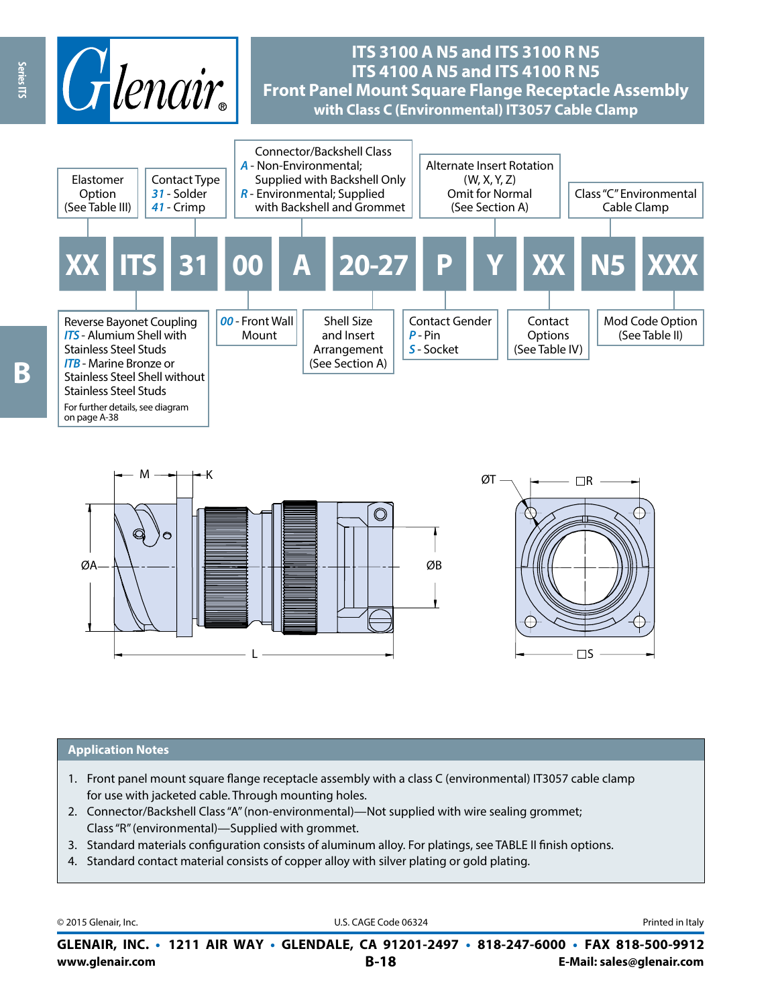



#### **Application Notes**

- 1. Front panel mount square flange receptacle assembly with a class C (environmental) IT3057 cable clamp for use with jacketed cable. Through mounting holes.
- 2. Connector/Backshell Class "A" (non-environmental)—Not supplied with wire sealing grommet; Class "R" (environmental)—Supplied with grommet.
- 3. Standard materials configuration consists of aluminum alloy. For platings, see TABLE II finish options.
- 4. Standard contact material consists of copper alloy with silver plating or gold plating.

© 2015 Glenair, Inc. **Discription Construction Construction Construction Construction Construction Construction Construction Construction Construction Construction Construction Construction Construction Construction Constr** 

**www.glenair.com B-18 E-Mail: sales@glenair.com GLENAIR, INC. • 1211 AIR WAY • GLENDALE, CA 91201-2497 • 818-247-6000 • FAX 818-500-9912**

Β